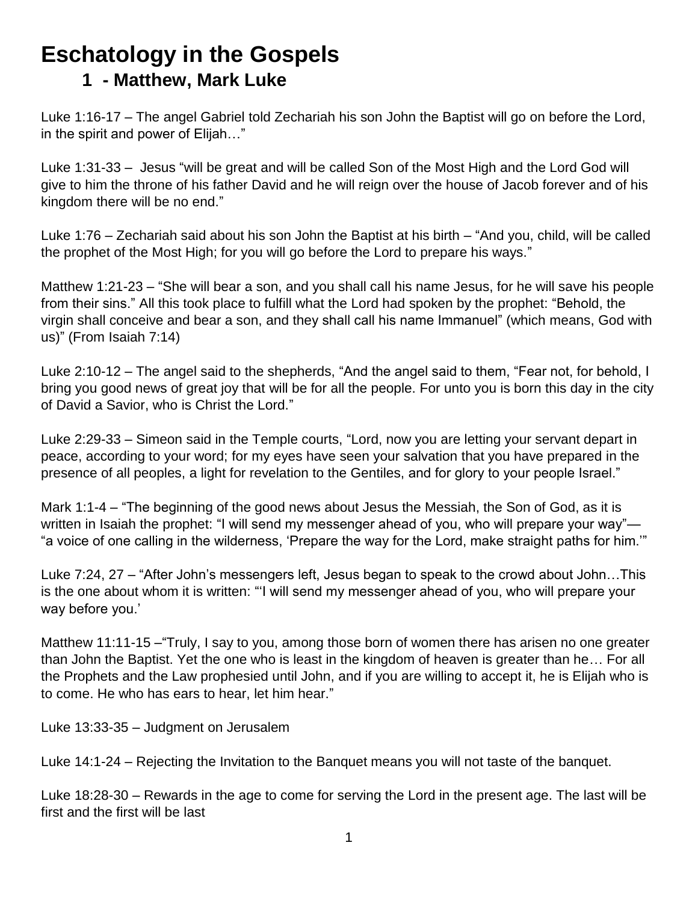## **Eschatology in the Gospels 1 - Matthew, Mark Luke**

Luke 1:16-17 – The angel Gabriel told Zechariah his son John the Baptist will go on before the Lord, in the spirit and power of Elijah…"

Luke 1:31-33 – Jesus "will be great and will be called Son of the Most High and the Lord God will give to him the throne of his father David and he will reign over the house of Jacob forever and of his kingdom there will be no end."

Luke 1:76 – Zechariah said about his son John the Baptist at his birth – "And you, child, will be called the prophet of the Most High; for you will go before the Lord to prepare his ways."

Matthew 1:21-23 – "She will bear a son, and you shall call his name Jesus, for he will save his people from their sins." All this took place to fulfill what the Lord had spoken by the prophet: "Behold, the virgin shall conceive and bear a son, and they shall call his name Immanuel" (which means, God with us)" (From Isaiah 7:14)

Luke 2:10-12 – The angel said to the shepherds, "And the angel said to them, "Fear not, for behold, I bring you good news of great joy that will be for all the people. For unto you is born this day in the city of David a Savior, who is Christ the Lord."

Luke 2:29-33 – Simeon said in the Temple courts, "Lord, now you are letting your servant depart in peace, according to your word; for my eyes have seen your salvation that you have prepared in the presence of all peoples, a light for revelation to the Gentiles, and for glory to your people Israel."

Mark 1:1-4 – "The beginning of the good news about Jesus the Messiah, the Son of God, as it is written in Isaiah the prophet: "I will send my messenger ahead of you, who will prepare your way"— "a voice of one calling in the wilderness, 'Prepare the way for the Lord, make straight paths for him.'"

Luke 7:24, 27 – "After John's messengers left, Jesus began to speak to the crowd about John…This is the one about whom it is written: "'I will send my messenger ahead of you, who will prepare your way before you.'

Matthew 11:11-15 –"Truly, I say to you, among those born of women there has arisen no one greater than John the Baptist. Yet the one who is least in the kingdom of heaven is greater than he… For all the Prophets and the Law prophesied until John, and if you are willing to accept it, he is Elijah who is to come. He who has ears to hear, let him hear."

Luke 13:33-35 – Judgment on Jerusalem

Luke 14:1-24 – Rejecting the Invitation to the Banquet means you will not taste of the banquet.

Luke 18:28-30 – Rewards in the age to come for serving the Lord in the present age. The last will be first and the first will be last